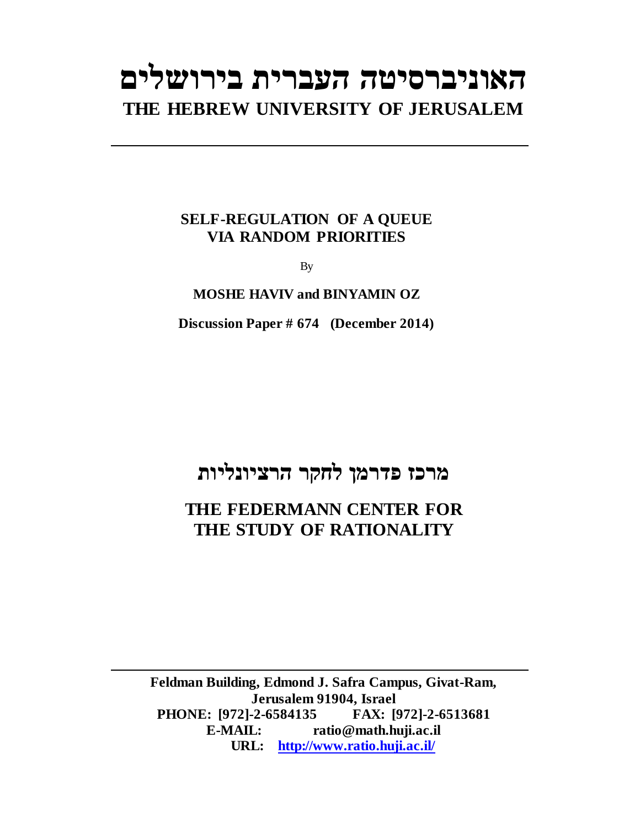# **האוניברסיטה העברית בירושלים THE HEBREW UNIVERSITY OF JERUSALEM**

### **SELF-REGULATION OF A QUEUE VIA RANDOM PRIORITIES**

By

#### **MOSHE HAVIV and BINYAMIN OZ**

**Discussion Paper # 674 (December 2014)**

## **מרכז פדרמן לחקר הרציונליות**

## **THE FEDERMANN CENTER FOR THE STUDY OF RATIONALITY**

**Feldman Building, Edmond J. Safra Campus, Givat-Ram, Jerusalem 91904, Israel PHONE: [972]-2-6584135 FAX: [972]-2-6513681 E-MAIL: ratio@math.huji.ac.il URL: http://www.ratio.huji.ac.il/**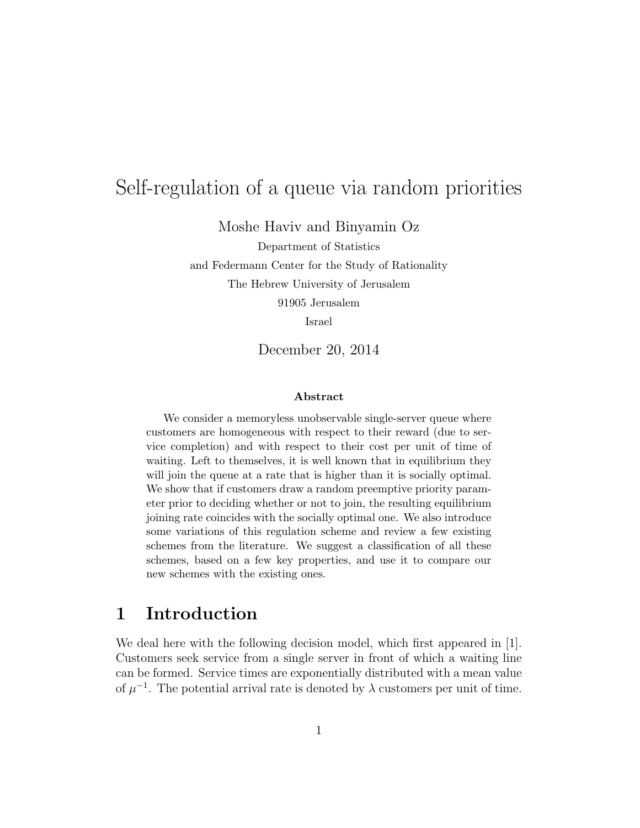## Self-regulation of a queue via random priorities

Moshe Haviv and Binyamin Oz

Department of Statistics

and Federmann Center for the Study of Rationality

The Hebrew University of Jerusalem

91905 Jerusalem

Israel

December 20, 2014

#### Abstract

We consider a memoryless unobservable single-server queue where customers are homogeneous with respect to their reward (due to service completion) and with respect to their cost per unit of time of waiting. Left to themselves, it is well known that in equilibrium they will join the queue at a rate that is higher than it is socially optimal. We show that if customers draw a random preemptive priority parameter prior to deciding whether or not to join, the resulting equilibrium joining rate coincides with the socially optimal one. We also introduce some variations of this regulation scheme and review a few existing schemes from the literature. We suggest a classification of all these schemes, based on a few key properties, and use it to compare our new schemes with the existing ones.

### 1 Introduction

We deal here with the following decision model, which first appeared in [1]. Customers seek service from a single server in front of which a waiting line can be formed. Service times are exponentially distributed with a mean value of  $\mu^{-1}$ . The potential arrival rate is denoted by  $\lambda$  customers per unit of time.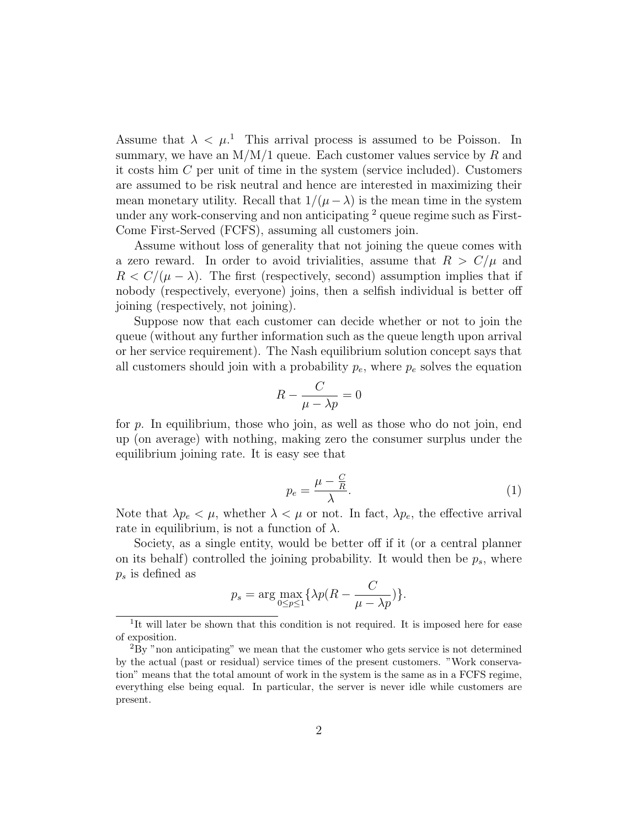Assume that  $\lambda < \mu$ <sup>1</sup>. This arrival process is assumed to be Poisson. In summary, we have an  $M/M/1$  queue. Each customer values service by  $R$  and it costs him C per unit of time in the system (service included). Customers are assumed to be risk neutral and hence are interested in maximizing their mean monetary utility. Recall that  $1/(\mu - \lambda)$  is the mean time in the system under any work-conserving and non anticipating <sup>2</sup> queue regime such as First-Come First-Served (FCFS), assuming all customers join.

Assume without loss of generality that not joining the queue comes with a zero reward. In order to avoid trivialities, assume that  $R > C/\mu$  and  $R < C/(\mu - \lambda)$ . The first (respectively, second) assumption implies that if nobody (respectively, everyone) joins, then a selfish individual is better off joining (respectively, not joining).

Suppose now that each customer can decide whether or not to join the queue (without any further information such as the queue length upon arrival or her service requirement). The Nash equilibrium solution concept says that all customers should join with a probability  $p_e$ , where  $p_e$  solves the equation

$$
R - \frac{C}{\mu - \lambda p} = 0
$$

for p. In equilibrium, those who join, as well as those who do not join, end up (on average) with nothing, making zero the consumer surplus under the equilibrium joining rate. It is easy see that

$$
p_e = \frac{\mu - \frac{C}{R}}{\lambda}.\tag{1}
$$

Note that  $\lambda p_e < \mu$ , whether  $\lambda < \mu$  or not. In fact,  $\lambda p_e$ , the effective arrival rate in equilibrium, is not a function of  $\lambda$ .

Society, as a single entity, would be better off if it (or a central planner on its behalf) controlled the joining probability. It would then be  $p_s$ , where  $p_s$  is defined as

$$
p_s = \arg\max_{0 \le p \le 1} \{ \lambda p(R - \frac{C}{\mu - \lambda p}) \}.
$$

<sup>&</sup>lt;sup>1</sup>It will later be shown that this condition is not required. It is imposed here for ease of exposition.

<sup>2</sup>By "non anticipating" we mean that the customer who gets service is not determined by the actual (past or residual) service times of the present customers. "Work conservation" means that the total amount of work in the system is the same as in a FCFS regime, everything else being equal. In particular, the server is never idle while customers are present.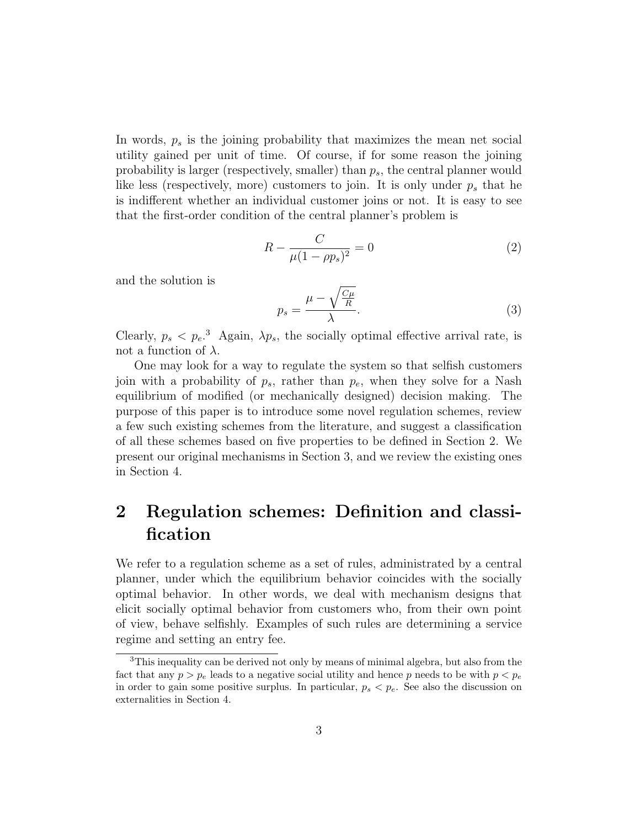In words,  $p<sub>s</sub>$  is the joining probability that maximizes the mean net social utility gained per unit of time. Of course, if for some reason the joining probability is larger (respectively, smaller) than  $p_s$ , the central planner would like less (respectively, more) customers to join. It is only under  $p_s$  that he is indifferent whether an individual customer joins or not. It is easy to see that the first-order condition of the central planner's problem is

$$
R - \frac{C}{\mu (1 - \rho p_s)^2} = 0
$$
 (2)

and the solution is

$$
p_s = \frac{\mu - \sqrt{\frac{C\mu}{R}}}{\lambda}.
$$
\n(3)

Clearly,  $p_s < p_e$ <sup>3</sup> Again,  $\lambda p_s$ , the socially optimal effective arrival rate, is not a function of  $\lambda$ .

One may look for a way to regulate the system so that selfish customers join with a probability of  $p_s$ , rather than  $p_e$ , when they solve for a Nash equilibrium of modified (or mechanically designed) decision making. The purpose of this paper is to introduce some novel regulation schemes, review a few such existing schemes from the literature, and suggest a classification of all these schemes based on five properties to be defined in Section 2. We present our original mechanisms in Section 3, and we review the existing ones in Section 4.

## 2 Regulation schemes: Definition and classification

We refer to a regulation scheme as a set of rules, administrated by a central planner, under which the equilibrium behavior coincides with the socially optimal behavior. In other words, we deal with mechanism designs that elicit socially optimal behavior from customers who, from their own point of view, behave selfishly. Examples of such rules are determining a service regime and setting an entry fee.

<sup>&</sup>lt;sup>3</sup>This inequality can be derived not only by means of minimal algebra, but also from the fact that any  $p > p_e$  leads to a negative social utility and hence p needs to be with  $p < p_e$ in order to gain some positive surplus. In particular,  $p_s < p_e$ . See also the discussion on externalities in Section 4.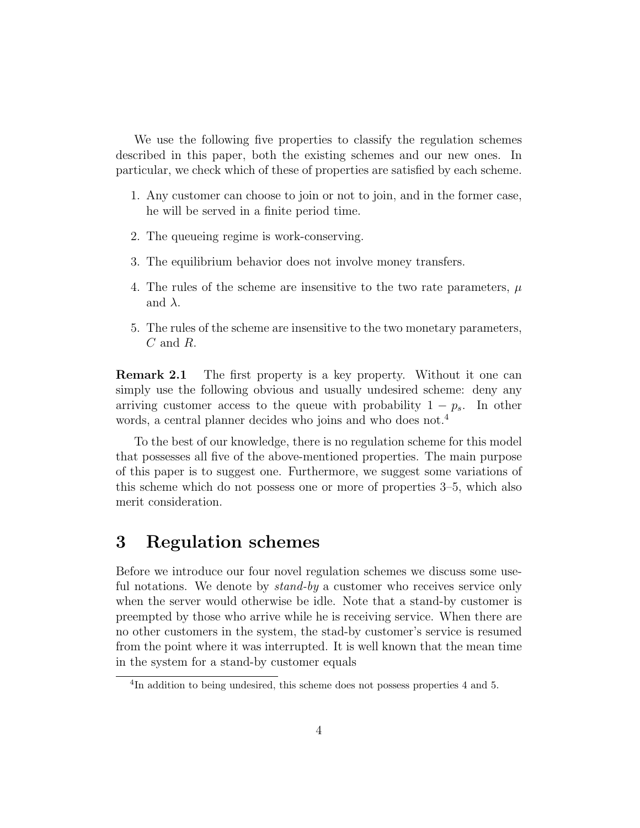We use the following five properties to classify the regulation schemes described in this paper, both the existing schemes and our new ones. In particular, we check which of these of properties are satisfied by each scheme.

- 1. Any customer can choose to join or not to join, and in the former case, he will be served in a finite period time.
- 2. The queueing regime is work-conserving.
- 3. The equilibrium behavior does not involve money transfers.
- 4. The rules of the scheme are insensitive to the two rate parameters,  $\mu$ and  $\lambda$ .
- 5. The rules of the scheme are insensitive to the two monetary parameters, C and R.

**Remark 2.1** The first property is a key property. Without it one can simply use the following obvious and usually undesired scheme: deny any arriving customer access to the queue with probability  $1 - p_s$ . In other words, a central planner decides who joins and who does not.<sup>4</sup>

To the best of our knowledge, there is no regulation scheme for this model that possesses all five of the above-mentioned properties. The main purpose of this paper is to suggest one. Furthermore, we suggest some variations of this scheme which do not possess one or more of properties 3–5, which also merit consideration.

## 3 Regulation schemes

Before we introduce our four novel regulation schemes we discuss some useful notations. We denote by *stand-by* a customer who receives service only when the server would otherwise be idle. Note that a stand-by customer is preempted by those who arrive while he is receiving service. When there are no other customers in the system, the stad-by customer's service is resumed from the point where it was interrupted. It is well known that the mean time in the system for a stand-by customer equals

<sup>&</sup>lt;sup>4</sup>In addition to being undesired, this scheme does not possess properties 4 and 5.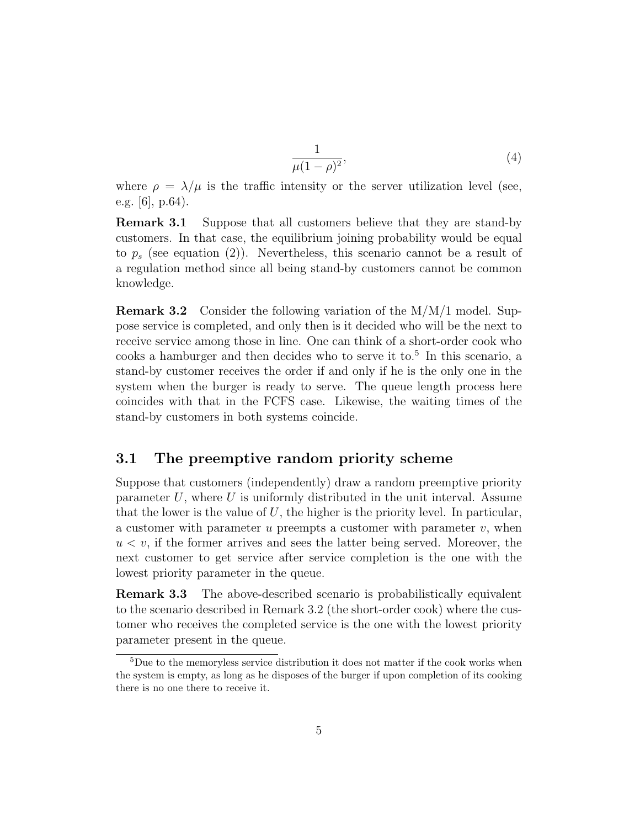$$
\frac{1}{\mu(1-\rho)^2},\tag{4}
$$

where  $\rho = \lambda/\mu$  is the traffic intensity or the server utilization level (see, e.g. [6], p.64).

Remark 3.1 Suppose that all customers believe that they are stand-by customers. In that case, the equilibrium joining probability would be equal to  $p_s$  (see equation (2)). Nevertheless, this scenario cannot be a result of a regulation method since all being stand-by customers cannot be common knowledge.

**Remark 3.2** Consider the following variation of the  $M/M/1$  model. Suppose service is completed, and only then is it decided who will be the next to receive service among those in line. One can think of a short-order cook who cooks a hamburger and then decides who to serve it to.<sup>5</sup> In this scenario, a stand-by customer receives the order if and only if he is the only one in the system when the burger is ready to serve. The queue length process here coincides with that in the FCFS case. Likewise, the waiting times of the stand-by customers in both systems coincide.

#### 3.1 The preemptive random priority scheme

Suppose that customers (independently) draw a random preemptive priority parameter  $U$ , where  $U$  is uniformly distributed in the unit interval. Assume that the lower is the value of  $U$ , the higher is the priority level. In particular, a customer with parameter u preempts a customer with parameter  $v$ , when  $u < v$ , if the former arrives and sees the latter being served. Moreover, the next customer to get service after service completion is the one with the lowest priority parameter in the queue.

Remark 3.3 The above-described scenario is probabilistically equivalent to the scenario described in Remark 3.2 (the short-order cook) where the customer who receives the completed service is the one with the lowest priority parameter present in the queue.

 $^5\rm{Due}$  to the memoryless service distribution it does not matter if the cook works when the system is empty, as long as he disposes of the burger if upon completion of its cooking there is no one there to receive it.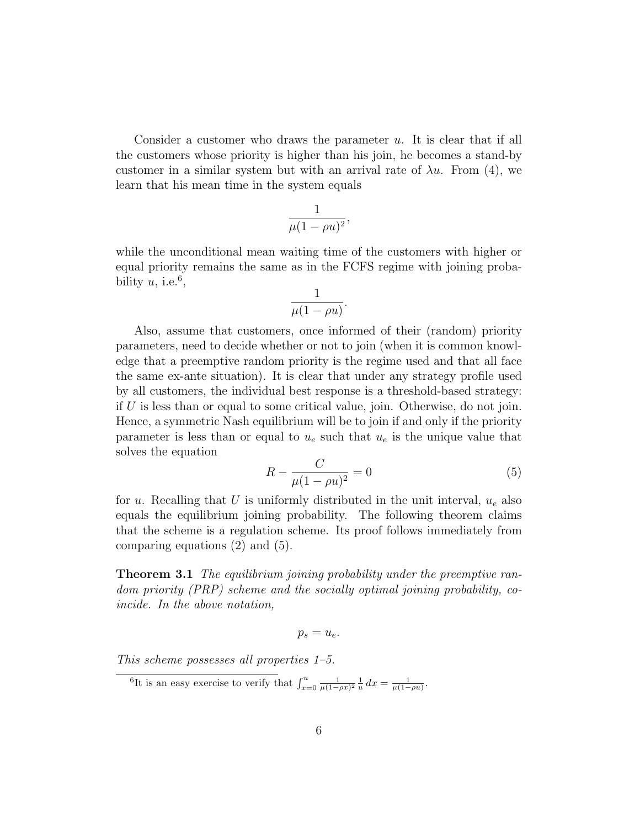Consider a customer who draws the parameter  $u$ . It is clear that if all the customers whose priority is higher than his join, he becomes a stand-by customer in a similar system but with an arrival rate of  $\lambda u$ . From (4), we learn that his mean time in the system equals

$$
\frac{1}{\mu(1-\rho u)^2},
$$

while the unconditional mean waiting time of the customers with higher or equal priority remains the same as in the FCFS regime with joining probability  $u$ , i.e.<sup>6</sup>,

$$
\frac{1}{\mu(1-\rho u)}.
$$

Also, assume that customers, once informed of their (random) priority parameters, need to decide whether or not to join (when it is common knowledge that a preemptive random priority is the regime used and that all face the same ex-ante situation). It is clear that under any strategy profile used by all customers, the individual best response is a threshold-based strategy: if  $U$  is less than or equal to some critical value, join. Otherwise, do not join. Hence, a symmetric Nash equilibrium will be to join if and only if the priority parameter is less than or equal to  $u_e$  such that  $u_e$  is the unique value that solves the equation

$$
R - \frac{C}{\mu(1 - \rho u)^2} = 0
$$
\n(5)

for u. Recalling that U is uniformly distributed in the unit interval,  $u_e$  also equals the equilibrium joining probability. The following theorem claims that the scheme is a regulation scheme. Its proof follows immediately from comparing equations (2) and (5).

**Theorem 3.1** The equilibrium joining probability under the preemptive random priority (PRP) scheme and the socially optimal joining probability, coincide. In the above notation,

$$
p_s=u_e.
$$

This scheme possesses all properties 1–5.

<sup>&</sup>lt;sup>6</sup>It is an easy exercise to verify that  $\int_{x=0}^{u} \frac{1}{\mu(1-\rho x)^2} \frac{1}{u} dx = \frac{1}{\mu(1-\rho u)}$ .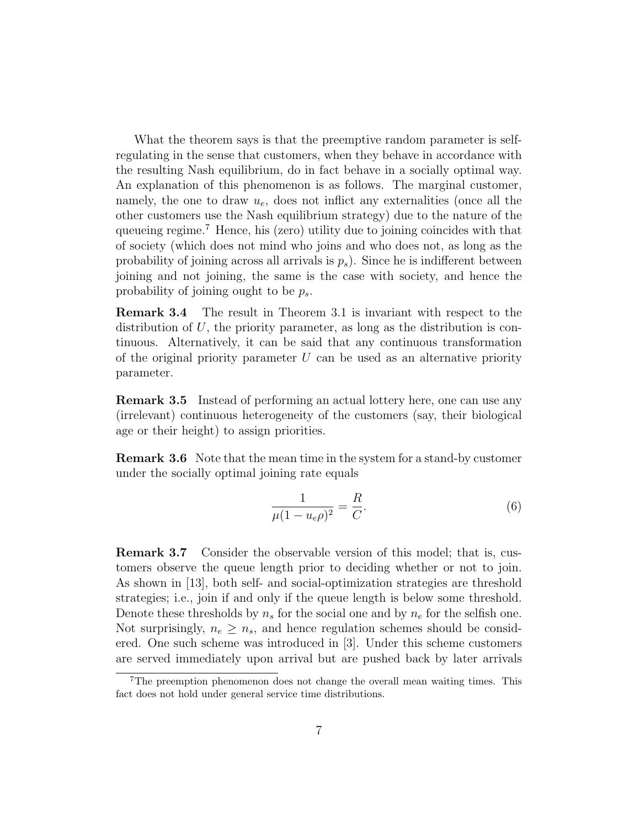What the theorem says is that the preemptive random parameter is selfregulating in the sense that customers, when they behave in accordance with the resulting Nash equilibrium, do in fact behave in a socially optimal way. An explanation of this phenomenon is as follows. The marginal customer, namely, the one to draw  $u_e$ , does not inflict any externalities (once all the other customers use the Nash equilibrium strategy) due to the nature of the queueing regime.<sup>7</sup> Hence, his (zero) utility due to joining coincides with that of society (which does not mind who joins and who does not, as long as the probability of joining across all arrivals is  $p_s$ ). Since he is indifferent between joining and not joining, the same is the case with society, and hence the probability of joining ought to be  $p_s$ .

Remark 3.4 The result in Theorem 3.1 is invariant with respect to the distribution of  $U$ , the priority parameter, as long as the distribution is continuous. Alternatively, it can be said that any continuous transformation of the original priority parameter  $U$  can be used as an alternative priority parameter.

Remark 3.5 Instead of performing an actual lottery here, one can use any (irrelevant) continuous heterogeneity of the customers (say, their biological age or their height) to assign priorities.

Remark 3.6 Note that the mean time in the system for a stand-by customer under the socially optimal joining rate equals

$$
\frac{1}{\mu(1 - u_e \rho)^2} = \frac{R}{C}.
$$
\n(6)

Remark 3.7 Consider the observable version of this model; that is, customers observe the queue length prior to deciding whether or not to join. As shown in [13], both self- and social-optimization strategies are threshold strategies; i.e., join if and only if the queue length is below some threshold. Denote these thresholds by  $n_s$  for the social one and by  $n_e$  for the selfish one. Not surprisingly,  $n_e \geq n_s$ , and hence regulation schemes should be considered. One such scheme was introduced in [3]. Under this scheme customers are served immediately upon arrival but are pushed back by later arrivals

<sup>7</sup>The preemption phenomenon does not change the overall mean waiting times. This fact does not hold under general service time distributions.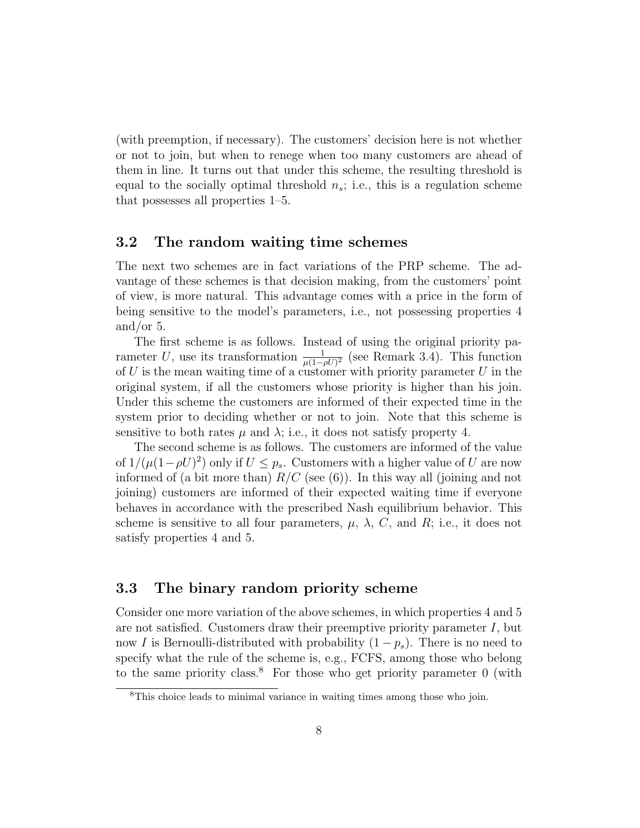(with preemption, if necessary). The customers' decision here is not whether or not to join, but when to renege when too many customers are ahead of them in line. It turns out that under this scheme, the resulting threshold is equal to the socially optimal threshold  $n_s$ ; i.e., this is a regulation scheme that possesses all properties 1–5.

#### 3.2 The random waiting time schemes

The next two schemes are in fact variations of the PRP scheme. The advantage of these schemes is that decision making, from the customers' point of view, is more natural. This advantage comes with a price in the form of being sensitive to the model's parameters, i.e., not possessing properties 4 and/or 5.

The first scheme is as follows. Instead of using the original priority parameter U, use its transformation  $\frac{1}{\mu(1-\rho U)^2}$  (see Remark 3.4). This function of  $U$  is the mean waiting time of a customer with priority parameter  $U$  in the original system, if all the customers whose priority is higher than his join. Under this scheme the customers are informed of their expected time in the system prior to deciding whether or not to join. Note that this scheme is sensitive to both rates  $\mu$  and  $\lambda$ ; i.e., it does not satisfy property 4.

The second scheme is as follows. The customers are informed of the value of  $1/(\mu(1-\rho U)^2)$  only if  $U \leq p_s$ . Customers with a higher value of U are now informed of (a bit more than)  $R/C$  (see (6)). In this way all (joining and not joining) customers are informed of their expected waiting time if everyone behaves in accordance with the prescribed Nash equilibrium behavior. This scheme is sensitive to all four parameters,  $\mu$ ,  $\lambda$ , C, and R; i.e., it does not satisfy properties 4 and 5.

#### 3.3 The binary random priority scheme

Consider one more variation of the above schemes, in which properties 4 and 5 are not satisfied. Customers draw their preemptive priority parameter  $I$ , but now I is Bernoulli-distributed with probability  $(1 - p_s)$ . There is no need to specify what the rule of the scheme is, e.g., FCFS, among those who belong to the same priority class.<sup>8</sup> For those who get priority parameter  $0$  (with

<sup>8</sup>This choice leads to minimal variance in waiting times among those who join.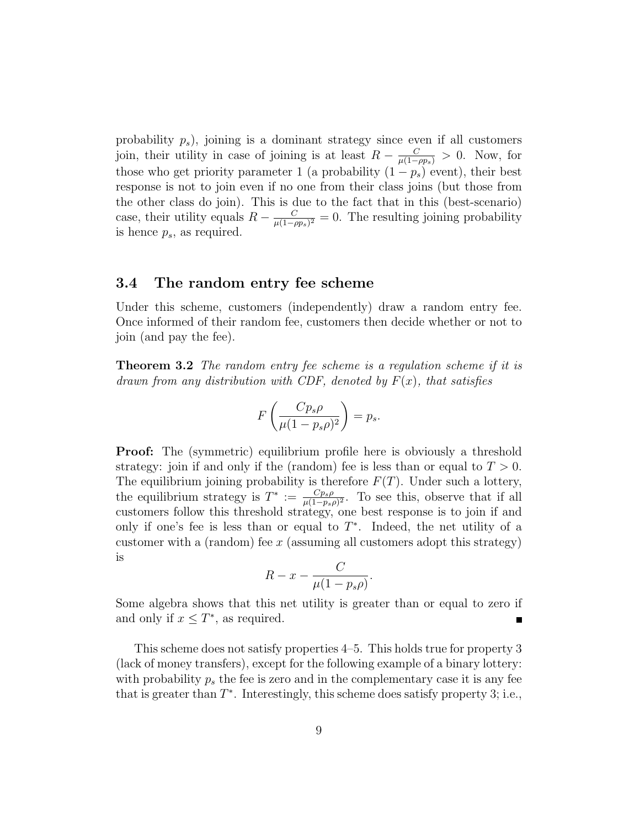probability  $p_s$ ), joining is a dominant strategy since even if all customers join, their utility in case of joining is at least  $R - \frac{C}{\mu(1-\rho p_s)} > 0$ . Now, for those who get priority parameter 1 (a probability  $(1 - p_s)$  event), their best response is not to join even if no one from their class joins (but those from the other class do join). This is due to the fact that in this (best-scenario) case, their utility equals  $R - \frac{C}{\mu(1-\mu)}$  $\frac{C}{\mu(1-\rho p_s)^2} = 0$ . The resulting joining probability is hence  $p_s$ , as required.

#### 3.4 The random entry fee scheme

Under this scheme, customers (independently) draw a random entry fee. Once informed of their random fee, customers then decide whether or not to join (and pay the fee).

**Theorem 3.2** The random entry fee scheme is a regulation scheme if it is drawn from any distribution with CDF, denoted by  $F(x)$ , that satisfies

$$
F\left(\frac{Cp_s\rho}{\mu(1-p_s\rho)^2}\right) = p_s.
$$

**Proof:** The (symmetric) equilibrium profile here is obviously a threshold strategy: join if and only if the (random) fee is less than or equal to  $T > 0$ . The equilibrium joining probability is therefore  $F(T)$ . Under such a lottery, the equilibrium strategy is  $T^* := \frac{Cp_s\rho}{\mu(1-n_s)}$  $\frac{Cp_s\rho}{\mu(1-p_s\rho)^2}$ . To see this, observe that if all customers follow this threshold strategy, one best response is to join if and only if one's fee is less than or equal to  $T^*$ . Indeed, the net utility of a customer with a (random) fee x (assuming all customers adopt this strategy) is

$$
R - x - \frac{C}{\mu(1 - p_s \rho)}
$$

.

Some algebra shows that this net utility is greater than or equal to zero if and only if  $x \leq T^*$ , as required. Н

This scheme does not satisfy properties 4–5. This holds true for property 3 (lack of money transfers), except for the following example of a binary lottery: with probability  $p_s$ , the fee is zero and in the complementary case it is any fee that is greater than  $T^*$ . Interestingly, this scheme does satisfy property 3; i.e.,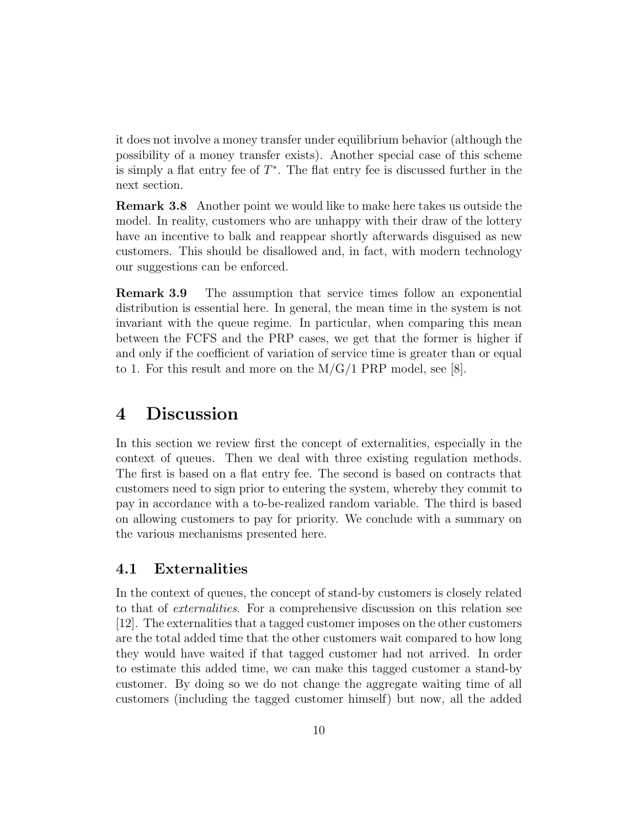it does not involve a money transfer under equilibrium behavior (although the possibility of a money transfer exists). Another special case of this scheme is simply a flat entry fee of  $T^*$ . The flat entry fee is discussed further in the next section.

Remark 3.8 Another point we would like to make here takes us outside the model. In reality, customers who are unhappy with their draw of the lottery have an incentive to balk and reappear shortly afterwards disguised as new customers. This should be disallowed and, in fact, with modern technology our suggestions can be enforced.

Remark 3.9 The assumption that service times follow an exponential distribution is essential here. In general, the mean time in the system is not invariant with the queue regime. In particular, when comparing this mean between the FCFS and the PRP cases, we get that the former is higher if and only if the coefficient of variation of service time is greater than or equal to 1. For this result and more on the  $M/G/1$  PRP model, see [8].

### 4 Discussion

In this section we review first the concept of externalities, especially in the context of queues. Then we deal with three existing regulation methods. The first is based on a flat entry fee. The second is based on contracts that customers need to sign prior to entering the system, whereby they commit to pay in accordance with a to-be-realized random variable. The third is based on allowing customers to pay for priority. We conclude with a summary on the various mechanisms presented here.

#### 4.1 Externalities

In the context of queues, the concept of stand-by customers is closely related to that of externalities. For a comprehensive discussion on this relation see [12]. The externalities that a tagged customer imposes on the other customers are the total added time that the other customers wait compared to how long they would have waited if that tagged customer had not arrived. In order to estimate this added time, we can make this tagged customer a stand-by customer. By doing so we do not change the aggregate waiting time of all customers (including the tagged customer himself) but now, all the added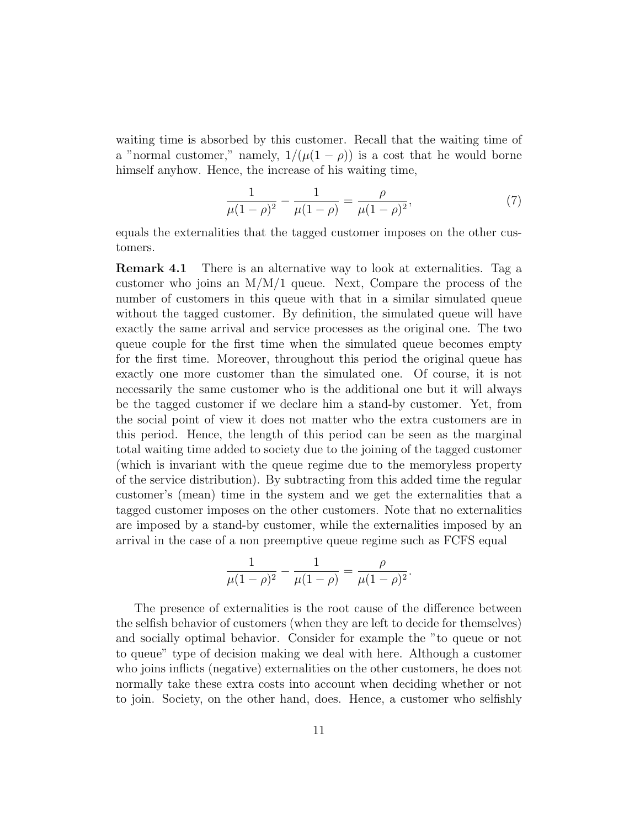waiting time is absorbed by this customer. Recall that the waiting time of a "normal customer," namely,  $1/(\mu(1-\rho))$  is a cost that he would borne himself anyhow. Hence, the increase of his waiting time,

$$
\frac{1}{\mu(1-\rho)^2} - \frac{1}{\mu(1-\rho)} = \frac{\rho}{\mu(1-\rho)^2},\tag{7}
$$

equals the externalities that the tagged customer imposes on the other customers.

Remark 4.1 There is an alternative way to look at externalities. Tag a customer who joins an  $M/M/1$  queue. Next, Compare the process of the number of customers in this queue with that in a similar simulated queue without the tagged customer. By definition, the simulated queue will have exactly the same arrival and service processes as the original one. The two queue couple for the first time when the simulated queue becomes empty for the first time. Moreover, throughout this period the original queue has exactly one more customer than the simulated one. Of course, it is not necessarily the same customer who is the additional one but it will always be the tagged customer if we declare him a stand-by customer. Yet, from the social point of view it does not matter who the extra customers are in this period. Hence, the length of this period can be seen as the marginal total waiting time added to society due to the joining of the tagged customer (which is invariant with the queue regime due to the memoryless property of the service distribution). By subtracting from this added time the regular customer's (mean) time in the system and we get the externalities that a tagged customer imposes on the other customers. Note that no externalities are imposed by a stand-by customer, while the externalities imposed by an arrival in the case of a non preemptive queue regime such as FCFS equal

$$
\frac{1}{\mu(1-\rho)^2} - \frac{1}{\mu(1-\rho)} = \frac{\rho}{\mu(1-\rho)^2}.
$$

The presence of externalities is the root cause of the difference between the selfish behavior of customers (when they are left to decide for themselves) and socially optimal behavior. Consider for example the "to queue or not to queue" type of decision making we deal with here. Although a customer who joins inflicts (negative) externalities on the other customers, he does not normally take these extra costs into account when deciding whether or not to join. Society, on the other hand, does. Hence, a customer who selfishly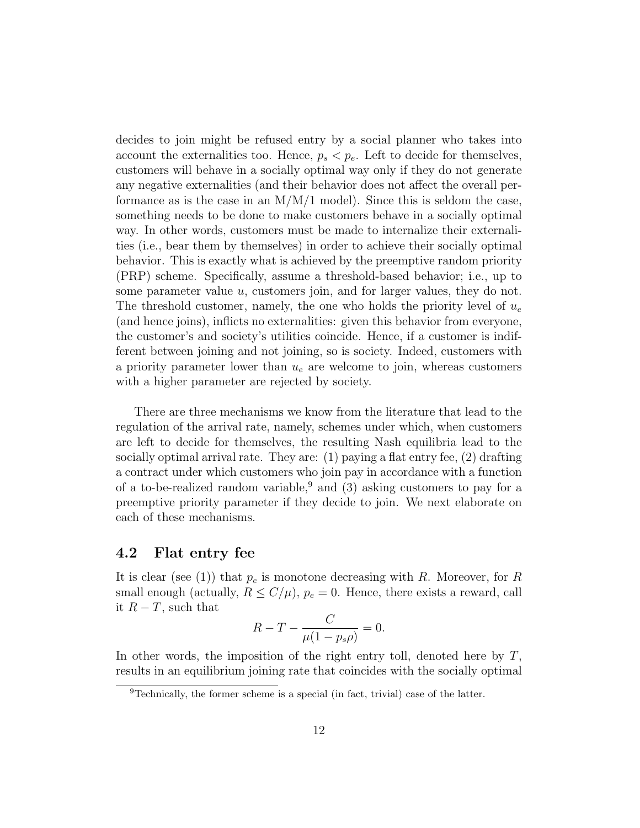decides to join might be refused entry by a social planner who takes into account the externalities too. Hence,  $p_s < p_e$ . Left to decide for themselves, customers will behave in a socially optimal way only if they do not generate any negative externalities (and their behavior does not affect the overall performance as is the case in an  $M/M/1$  model). Since this is seldom the case, something needs to be done to make customers behave in a socially optimal way. In other words, customers must be made to internalize their externalities (i.e., bear them by themselves) in order to achieve their socially optimal behavior. This is exactly what is achieved by the preemptive random priority (PRP) scheme. Specifically, assume a threshold-based behavior; i.e., up to some parameter value u, customers join, and for larger values, they do not. The threshold customer, namely, the one who holds the priority level of  $u_e$ (and hence joins), inflicts no externalities: given this behavior from everyone, the customer's and society's utilities coincide. Hence, if a customer is indifferent between joining and not joining, so is society. Indeed, customers with a priority parameter lower than  $u_e$  are welcome to join, whereas customers with a higher parameter are rejected by society.

There are three mechanisms we know from the literature that lead to the regulation of the arrival rate, namely, schemes under which, when customers are left to decide for themselves, the resulting Nash equilibria lead to the socially optimal arrival rate. They are:  $(1)$  paying a flat entry fee,  $(2)$  drafting a contract under which customers who join pay in accordance with a function of a to-be-realized random variable,<sup>9</sup> and (3) asking customers to pay for a preemptive priority parameter if they decide to join. We next elaborate on each of these mechanisms.

#### 4.2 Flat entry fee

It is clear (see (1)) that  $p_e$  is monotone decreasing with R. Moreover, for R small enough (actually,  $R \le C/\mu$ ),  $p_e = 0$ . Hence, there exists a reward, call it  $R - T$ , such that

$$
R - T - \frac{C}{\mu(1 - p_s \rho)} = 0.
$$

In other words, the imposition of the right entry toll, denoted here by  $T$ , results in an equilibrium joining rate that coincides with the socially optimal

<sup>9</sup>Technically, the former scheme is a special (in fact, trivial) case of the latter.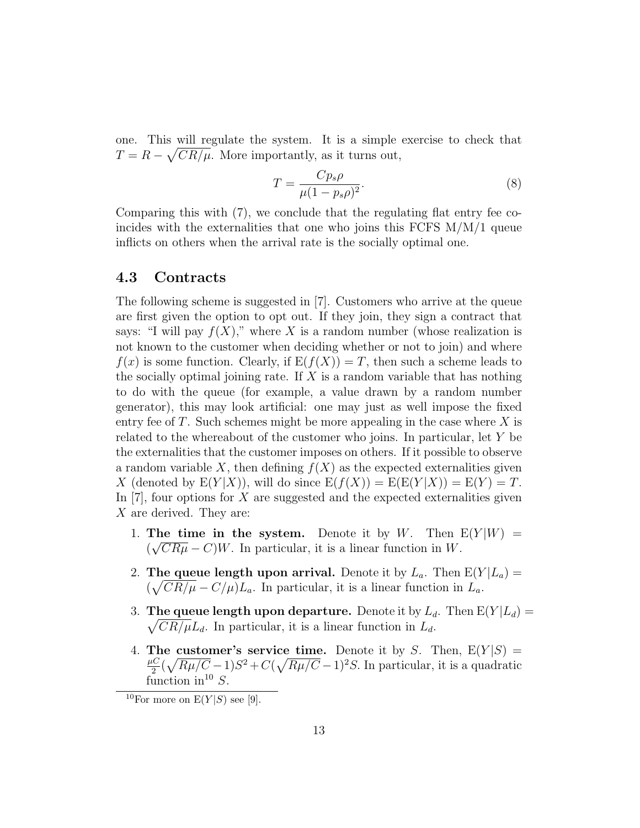one. This will regulate the system. It is a simple exercise to check that  $T = R - \sqrt{CR/\mu}$ . More importantly, as it turns out,

$$
T = \frac{C p_s \rho}{\mu (1 - p_s \rho)^2}.
$$
\n(8)

Comparing this with (7), we conclude that the regulating flat entry fee coincides with the externalities that one who joins this FCFS  $M/M/1$  queue inflicts on others when the arrival rate is the socially optimal one.

#### 4.3 Contracts

The following scheme is suggested in [7]. Customers who arrive at the queue are first given the option to opt out. If they join, they sign a contract that says: "I will pay  $f(X)$ ," where X is a random number (whose realization is not known to the customer when deciding whether or not to join) and where  $f(x)$  is some function. Clearly, if  $E(f(X)) = T$ , then such a scheme leads to the socially optimal joining rate. If  $X$  is a random variable that has nothing to do with the queue (for example, a value drawn by a random number generator), this may look artificial: one may just as well impose the fixed entry fee of T. Such schemes might be more appealing in the case where  $X$  is related to the whereabout of the customer who joins. In particular, let Y be the externalities that the customer imposes on others. If it possible to observe a random variable X, then defining  $f(X)$  as the expected externalities given X (denoted by  $E(Y|X)$ ), will do since  $E(f(X)) = E(E(Y|X)) = E(Y) = T$ . In  $[7]$ , four options for X are suggested and the expected externalities given X are derived. They are:

- 1. The time in the system. Denote it by W. Then  $E(Y|W) =$  $(\sqrt{CR\mu} - C)W$ . In particular, it is a linear function in W.
- 2. The queue length upon arrival. Denote it by  $L_a$ . Then  $E(Y|L_a) =$  $(\sqrt{CR/\mu} - C/\mu)L_a$ . In particular, it is a linear function in  $\hat{L}_a$ .
- 3. The queue length upon departure. Denote it by  $L_d$ . Then  $E(Y|L_d) =$  $\sqrt{CR/\mu}L_d$ . In particular, it is a linear function in  $L_d$ .
- 4. The customer's service time. Denote it by S. Then,  $E(Y|S) =$  $\mu C$  $\frac{dC}{2}(\sqrt{R\mu/C}-1)S^2+C(\sqrt{R\mu/C}-1)^2S$ . In particular, it is a quadratic function in<sup>10</sup> S.

<sup>&</sup>lt;sup>10</sup>For more on  $E(Y|S)$  see [9].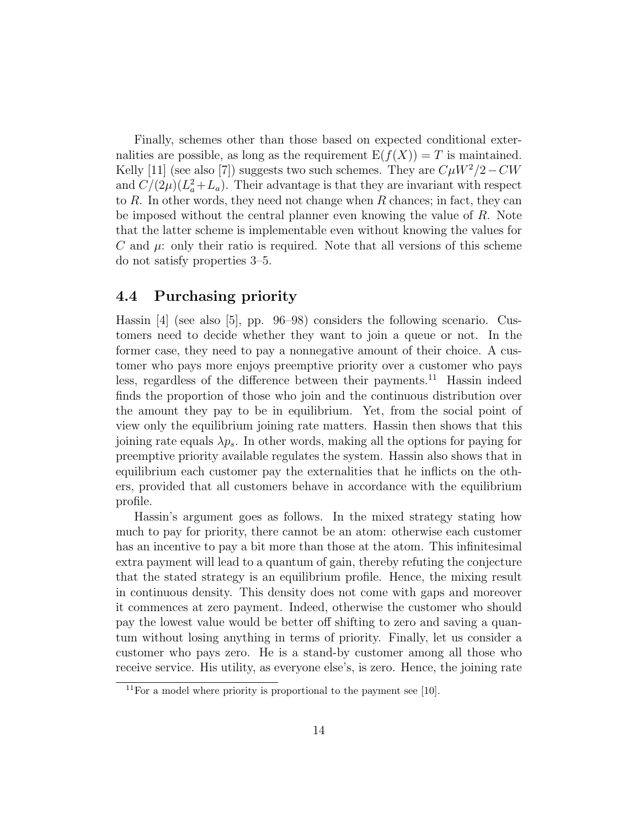Finally, schemes other than those based on expected conditional externalities are possible, as long as the requirement  $E(f(X)) = T$  is maintained. Kelly [11] (see also [7]) suggests two such schemes. They are  $C\mu W^2/2-CW$ and  $C/(2\mu)(L_a^2+L_a)$ . Their advantage is that they are invariant with respect to  $R$ . In other words, they need not change when  $R$  chances; in fact, they can be imposed without the central planner even knowing the value of R. Note that the latter scheme is implementable even without knowing the values for C and  $\mu$ : only their ratio is required. Note that all versions of this scheme do not satisfy properties 3–5.

#### 4.4 Purchasing priority

Hassin [4] (see also [5], pp. 96–98) considers the following scenario. Customers need to decide whether they want to join a queue or not. In the former case, they need to pay a nonnegative amount of their choice. A customer who pays more enjoys preemptive priority over a customer who pays less, regardless of the difference between their payments.<sup>11</sup> Hassin indeed finds the proportion of those who join and the continuous distribution over the amount they pay to be in equilibrium. Yet, from the social point of view only the equilibrium joining rate matters. Hassin then shows that this joining rate equals  $\lambda p_s$ . In other words, making all the options for paying for preemptive priority available regulates the system. Hassin also shows that in equilibrium each customer pay the externalities that he inflicts on the others, provided that all customers behave in accordance with the equilibrium profile.

Hassin's argument goes as follows. In the mixed strategy stating how much to pay for priority, there cannot be an atom: otherwise each customer has an incentive to pay a bit more than those at the atom. This infinitesimal extra payment will lead to a quantum of gain, thereby refuting the conjecture that the stated strategy is an equilibrium profile. Hence, the mixing result in continuous density. This density does not come with gaps and moreover it commences at zero payment. Indeed, otherwise the customer who should pay the lowest value would be better off shifting to zero and saving a quantum without losing anything in terms of priority. Finally, let us consider a customer who pays zero. He is a stand-by customer among all those who receive service. His utility, as everyone else's, is zero. Hence, the joining rate

<sup>&</sup>lt;sup>11</sup>For a model where priority is proportional to the payment see [10].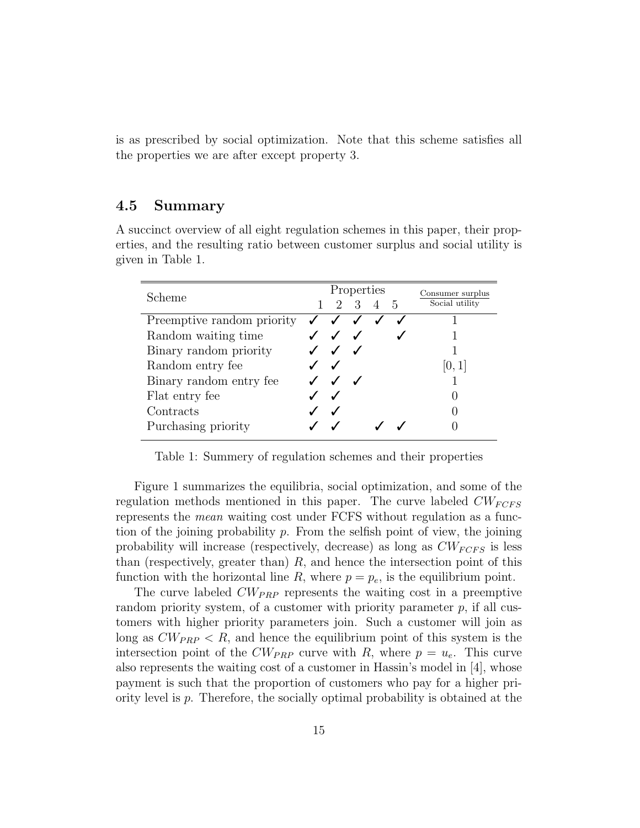is as prescribed by social optimization. Note that this scheme satisfies all the properties we are after except property 3.

#### 4.5 Summary

A succinct overview of all eight regulation schemes in this paper, their properties, and the resulting ratio between customer surplus and social utility is given in Table 1.

| Scheme                     | Properties |                                        |         |  |  | Consumer surplus |
|----------------------------|------------|----------------------------------------|---------|--|--|------------------|
|                            |            |                                        | 2 3 4 5 |  |  | Social utility   |
| Preemptive random priority |            | $\checkmark$ $\checkmark$ $\checkmark$ |         |  |  |                  |
| Random waiting time        |            | $\checkmark$ $\checkmark$ $\checkmark$ |         |  |  |                  |
| Binary random priority     |            | $\checkmark$ $\checkmark$              |         |  |  |                  |
| Random entry fee           |            | $\sqrt{ }$                             |         |  |  |                  |
| Binary random entry fee    |            | $J$ $J$ $J$                            |         |  |  |                  |
| Flat entry fee             |            | $\sqrt{ }$                             |         |  |  |                  |
| Contracts                  |            |                                        |         |  |  |                  |
| Purchasing priority        |            |                                        |         |  |  |                  |
|                            |            |                                        |         |  |  |                  |

Table 1: Summery of regulation schemes and their properties

Figure 1 summarizes the equilibria, social optimization, and some of the regulation methods mentioned in this paper. The curve labeled  $CW_{FCFS}$ represents the mean waiting cost under FCFS without regulation as a function of the joining probability  $p$ . From the selfish point of view, the joining probability will increase (respectively, decrease) as long as  $CW_{FCFS}$  is less than (respectively, greater than)  $R$ , and hence the intersection point of this function with the horizontal line R, where  $p = p_e$ , is the equilibrium point.

The curve labeled  $CW_{PRP}$  represents the waiting cost in a preemptive random priority system, of a customer with priority parameter  $p$ , if all customers with higher priority parameters join. Such a customer will join as long as  $CW_{PRP} < R$ , and hence the equilibrium point of this system is the intersection point of the  $CW_{PRP}$  curve with R, where  $p = u_e$ . This curve also represents the waiting cost of a customer in Hassin's model in [4], whose payment is such that the proportion of customers who pay for a higher priority level is p. Therefore, the socially optimal probability is obtained at the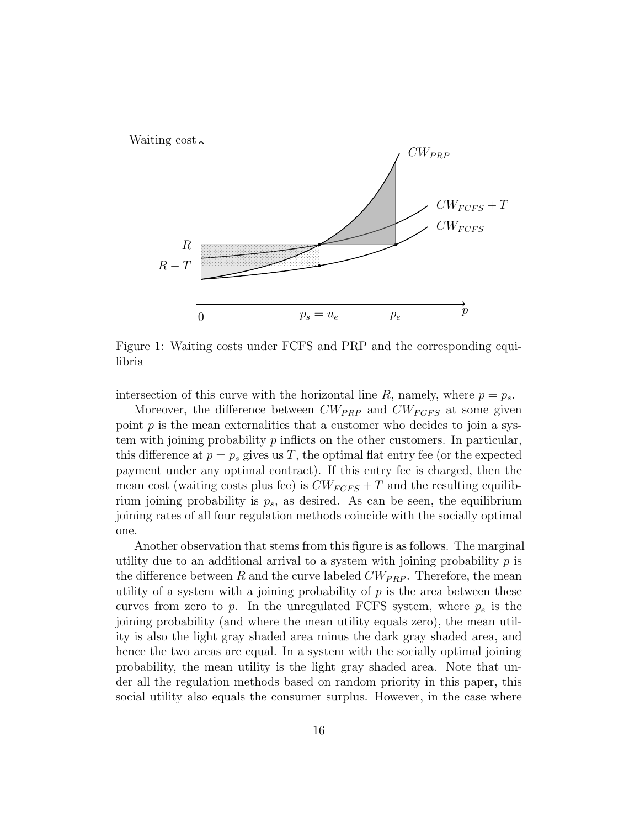

Figure 1: Waiting costs under FCFS and PRP and the corresponding equilibria

intersection of this curve with the horizontal line  $R$ , namely, where  $p = p_s$ .

Moreover, the difference between  $CW_{PRP}$  and  $CW_{FCFS}$  at some given point  $p$  is the mean externalities that a customer who decides to join a system with joining probability  $p$  inflicts on the other customers. In particular, this difference at  $p = p_s$  gives us T, the optimal flat entry fee (or the expected payment under any optimal contract). If this entry fee is charged, then the mean cost (waiting costs plus fee) is  $CW_{FCFS} + T$  and the resulting equilibrium joining probability is  $p_s$ , as desired. As can be seen, the equilibrium joining rates of all four regulation methods coincide with the socially optimal one.

Another observation that stems from this figure is as follows. The marginal utility due to an additional arrival to a system with joining probability  $p$  is the difference between R and the curve labeled  $CW_{PRP}$ . Therefore, the mean utility of a system with a joining probability of  $p$  is the area between these curves from zero to p. In the unregulated FCFS system, where  $p_e$  is the joining probability (and where the mean utility equals zero), the mean utility is also the light gray shaded area minus the dark gray shaded area, and hence the two areas are equal. In a system with the socially optimal joining probability, the mean utility is the light gray shaded area. Note that under all the regulation methods based on random priority in this paper, this social utility also equals the consumer surplus. However, in the case where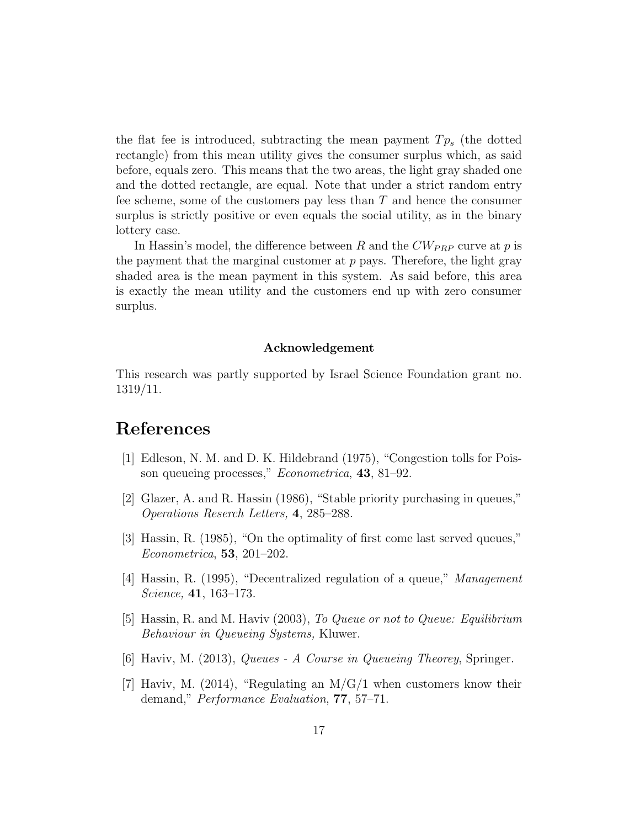the flat fee is introduced, subtracting the mean payment  $Tp_s$  (the dotted rectangle) from this mean utility gives the consumer surplus which, as said before, equals zero. This means that the two areas, the light gray shaded one and the dotted rectangle, are equal. Note that under a strict random entry fee scheme, some of the customers pay less than  $T$  and hence the consumer surplus is strictly positive or even equals the social utility, as in the binary lottery case.

In Hassin's model, the difference between R and the  $CW_{PRP}$  curve at p is the payment that the marginal customer at  $p$  pays. Therefore, the light gray shaded area is the mean payment in this system. As said before, this area is exactly the mean utility and the customers end up with zero consumer surplus.

#### Acknowledgement

This research was partly supported by Israel Science Foundation grant no. 1319/11.

## References

- [1] Edleson, N. M. and D. K. Hildebrand (1975), "Congestion tolls for Poisson queueing processes," Econometrica, 43, 81–92.
- [2] Glazer, A. and R. Hassin (1986), "Stable priority purchasing in queues," Operations Reserch Letters, 4, 285–288.
- [3] Hassin, R. (1985), "On the optimality of first come last served queues," Econometrica, 53, 201–202.
- [4] Hassin, R. (1995), "Decentralized regulation of a queue," Management Science, 41, 163–173.
- [5] Hassin, R. and M. Haviv (2003), To Queue or not to Queue: Equilibrium Behaviour in Queueing Systems, Kluwer.
- [6] Haviv, M. (2013), Queues A Course in Queueing Theorey, Springer.
- [7] Haviv, M. (2014), "Regulating an  $M/G/1$  when customers know their demand," Performance Evaluation, 77, 57–71.